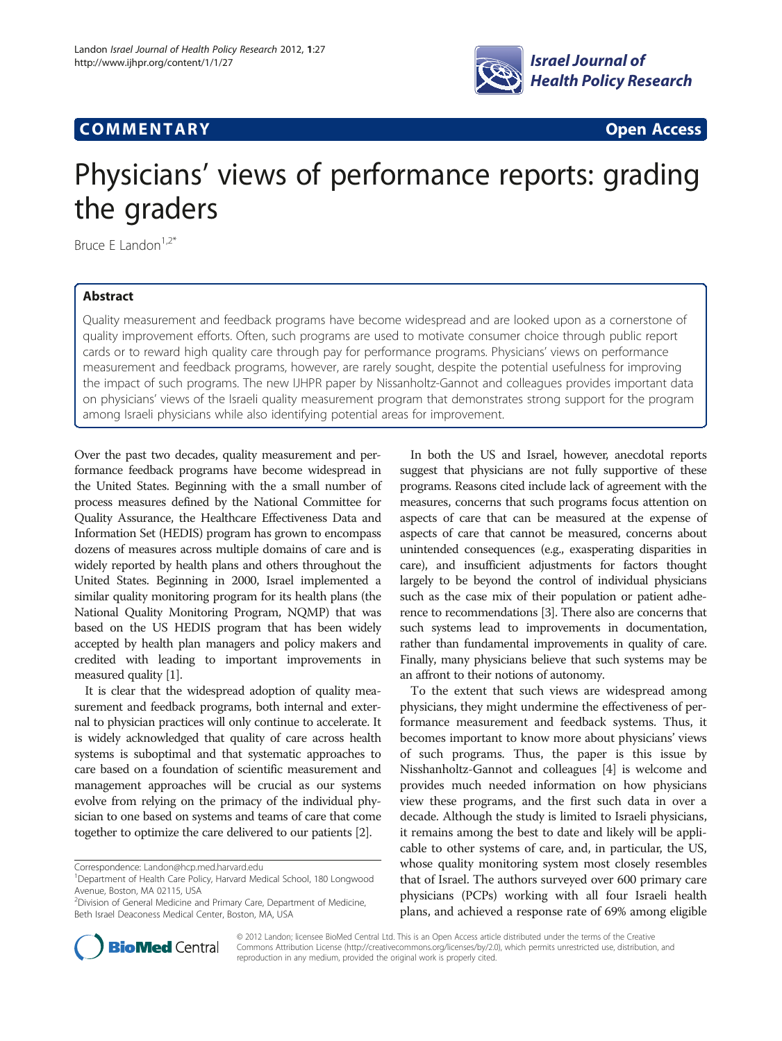

# **COMMENTARY COMMENTARY Open Access**

# Physicians' views of performance reports: grading the graders

Bruce E Landon $1,2^*$ 

# Abstract

Quality measurement and feedback programs have become widespread and are looked upon as a cornerstone of quality improvement efforts. Often, such programs are used to motivate consumer choice through public report cards or to reward high quality care through pay for performance programs. Physicians' views on performance measurement and feedback programs, however, are rarely sought, despite the potential usefulness for improving the impact of such programs. The new IJHPR paper by Nissanholtz-Gannot and colleagues provides important data on physicians' views of the Israeli quality measurement program that demonstrates strong support for the program among Israeli physicians while also identifying potential areas for improvement.

Over the past two decades, quality measurement and performance feedback programs have become widespread in the United States. Beginning with the a small number of process measures defined by the National Committee for Quality Assurance, the Healthcare Effectiveness Data and Information Set (HEDIS) program has grown to encompass dozens of measures across multiple domains of care and is widely reported by health plans and others throughout the United States. Beginning in 2000, Israel implemented a similar quality monitoring program for its health plans (the National Quality Monitoring Program, NQMP) that was based on the US HEDIS program that has been widely accepted by health plan managers and policy makers and credited with leading to important improvements in measured quality [\[1\]](#page-2-0).

It is clear that the widespread adoption of quality measurement and feedback programs, both internal and external to physician practices will only continue to accelerate. It is widely acknowledged that quality of care across health systems is suboptimal and that systematic approaches to care based on a foundation of scientific measurement and management approaches will be crucial as our systems evolve from relying on the primacy of the individual physician to one based on systems and teams of care that come together to optimize the care delivered to our patients [[2](#page-2-0)].



To the extent that such views are widespread among physicians, they might undermine the effectiveness of performance measurement and feedback systems. Thus, it becomes important to know more about physicians' views of such programs. Thus, the paper is this issue by Nisshanholtz-Gannot and colleagues [[4\]](#page-2-0) is welcome and provides much needed information on how physicians view these programs, and the first such data in over a decade. Although the study is limited to Israeli physicians, it remains among the best to date and likely will be applicable to other systems of care, and, in particular, the US, whose quality monitoring system most closely resembles that of Israel. The authors surveyed over 600 primary care physicians (PCPs) working with all four Israeli health plans, and achieved a response rate of 69% among eligible



© 2012 Landon; licensee BioMed Central Ltd. This is an Open Access article distributed under the terms of the Creative Commons Attribution License [\(http://creativecommons.org/licenses/by/2.0\)](http://creativecommons.org/licenses/by/2.0), which permits unrestricted use, distribution, and reproduction in any medium, provided the original work is properly cited.

Correspondence: [Landon@hcp.med.harvard.edu](mailto:Landon@hcp.med.harvard.edu) <sup>1</sup>

<sup>&</sup>lt;sup>1</sup>Department of Health Care Policy, Harvard Medical School, 180 Longwood Avenue, Boston, MA 02115, USA

<sup>&</sup>lt;sup>2</sup> Division of General Medicine and Primary Care, Department of Medicine, Beth Israel Deaconess Medical Center, Boston, MA, USA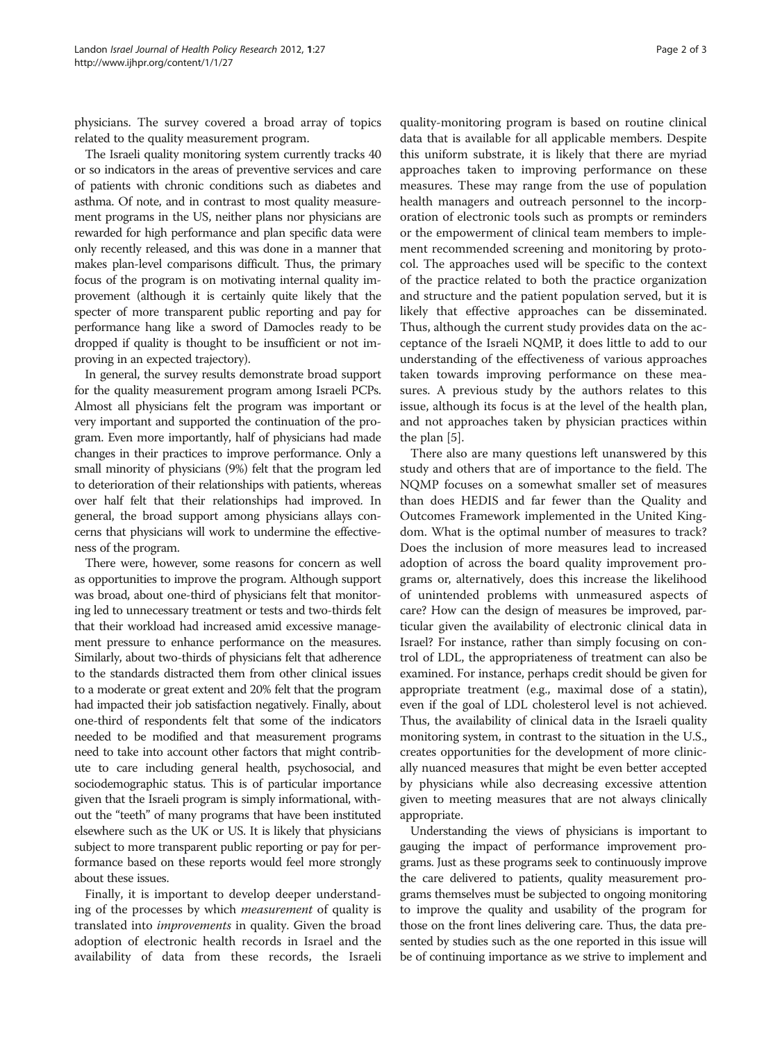physicians. The survey covered a broad array of topics related to the quality measurement program.

The Israeli quality monitoring system currently tracks 40 or so indicators in the areas of preventive services and care of patients with chronic conditions such as diabetes and asthma. Of note, and in contrast to most quality measurement programs in the US, neither plans nor physicians are rewarded for high performance and plan specific data were only recently released, and this was done in a manner that makes plan-level comparisons difficult. Thus, the primary focus of the program is on motivating internal quality improvement (although it is certainly quite likely that the specter of more transparent public reporting and pay for performance hang like a sword of Damocles ready to be dropped if quality is thought to be insufficient or not improving in an expected trajectory).

In general, the survey results demonstrate broad support for the quality measurement program among Israeli PCPs. Almost all physicians felt the program was important or very important and supported the continuation of the program. Even more importantly, half of physicians had made changes in their practices to improve performance. Only a small minority of physicians (9%) felt that the program led to deterioration of their relationships with patients, whereas over half felt that their relationships had improved. In general, the broad support among physicians allays concerns that physicians will work to undermine the effectiveness of the program.

There were, however, some reasons for concern as well as opportunities to improve the program. Although support was broad, about one-third of physicians felt that monitoring led to unnecessary treatment or tests and two-thirds felt that their workload had increased amid excessive management pressure to enhance performance on the measures. Similarly, about two-thirds of physicians felt that adherence to the standards distracted them from other clinical issues to a moderate or great extent and 20% felt that the program had impacted their job satisfaction negatively. Finally, about one-third of respondents felt that some of the indicators needed to be modified and that measurement programs need to take into account other factors that might contribute to care including general health, psychosocial, and sociodemographic status. This is of particular importance given that the Israeli program is simply informational, without the "teeth" of many programs that have been instituted elsewhere such as the UK or US. It is likely that physicians subject to more transparent public reporting or pay for performance based on these reports would feel more strongly about these issues.

Finally, it is important to develop deeper understanding of the processes by which measurement of quality is translated into improvements in quality. Given the broad adoption of electronic health records in Israel and the availability of data from these records, the Israeli

quality-monitoring program is based on routine clinical data that is available for all applicable members. Despite this uniform substrate, it is likely that there are myriad approaches taken to improving performance on these measures. These may range from the use of population health managers and outreach personnel to the incorporation of electronic tools such as prompts or reminders or the empowerment of clinical team members to implement recommended screening and monitoring by protocol. The approaches used will be specific to the context of the practice related to both the practice organization and structure and the patient population served, but it is likely that effective approaches can be disseminated. Thus, although the current study provides data on the acceptance of the Israeli NQMP, it does little to add to our understanding of the effectiveness of various approaches taken towards improving performance on these measures. A previous study by the authors relates to this issue, although its focus is at the level of the health plan, and not approaches taken by physician practices within the plan [[5](#page-2-0)].

There also are many questions left unanswered by this study and others that are of importance to the field. The NQMP focuses on a somewhat smaller set of measures than does HEDIS and far fewer than the Quality and Outcomes Framework implemented in the United Kingdom. What is the optimal number of measures to track? Does the inclusion of more measures lead to increased adoption of across the board quality improvement programs or, alternatively, does this increase the likelihood of unintended problems with unmeasured aspects of care? How can the design of measures be improved, particular given the availability of electronic clinical data in Israel? For instance, rather than simply focusing on control of LDL, the appropriateness of treatment can also be examined. For instance, perhaps credit should be given for appropriate treatment (e.g., maximal dose of a statin), even if the goal of LDL cholesterol level is not achieved. Thus, the availability of clinical data in the Israeli quality monitoring system, in contrast to the situation in the U.S., creates opportunities for the development of more clinically nuanced measures that might be even better accepted by physicians while also decreasing excessive attention given to meeting measures that are not always clinically appropriate.

Understanding the views of physicians is important to gauging the impact of performance improvement programs. Just as these programs seek to continuously improve the care delivered to patients, quality measurement programs themselves must be subjected to ongoing monitoring to improve the quality and usability of the program for those on the front lines delivering care. Thus, the data presented by studies such as the one reported in this issue will be of continuing importance as we strive to implement and